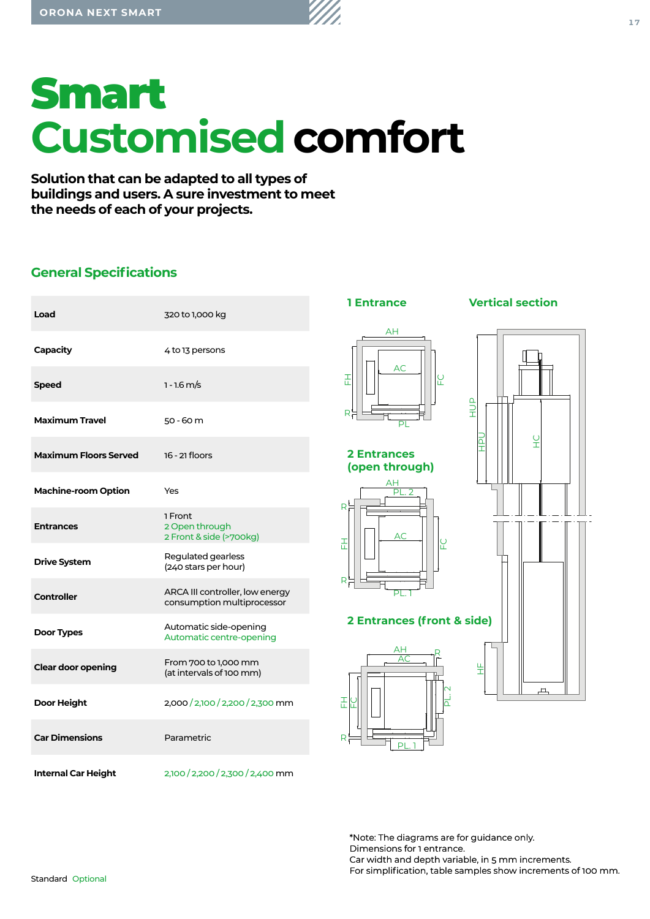# Smart **Customised comfort**

**Solution that can be adapted to all types of buildings and users. A sure investment to meet the needs of each of your projects.**

# **General Specifications**

| Load                         | 320 to 1,000 kg                                               |
|------------------------------|---------------------------------------------------------------|
| Capacity                     | 4 to 13 persons                                               |
| Speed                        | $1 - 1.6$ m/s                                                 |
| <b>Maximum Travel</b>        | $50 - 60$ m                                                   |
| <b>Maximum Floors Served</b> | 16 - 21 floors                                                |
| <b>Machine-room Option</b>   | Yes                                                           |
| <b>Entrances</b>             | 1 Front<br>2 Open through<br>2 Front & side (>700kg)          |
| <b>Drive System</b>          | Regulated gearless<br>(240 stars per hour)                    |
| <b>Controller</b>            | ARCA III controller, low energy<br>consumption multiprocessor |
| Door Types                   | Automatic side-opening<br>Automatic centre-opening            |
| <b>Clear door opening</b>    | From 700 to 1,000 mm<br>(at intervals of 100 mm)              |
| <b>Door Height</b>           | 2,000/2,100/2,200/2,300 mm                                    |
| <b>Car Dimensions</b>        | Parametric                                                    |
| <b>Internal Car Height</b>   | 2,100 / 2,200 / 2,300 / 2,400 mm                              |



\*Note: The diagrams are for guidance only. Dimensions for 1 entrance. Car width and depth variable, in 5 mm increments. For simplification, table samples show increments of 100 mm.

Standard Optional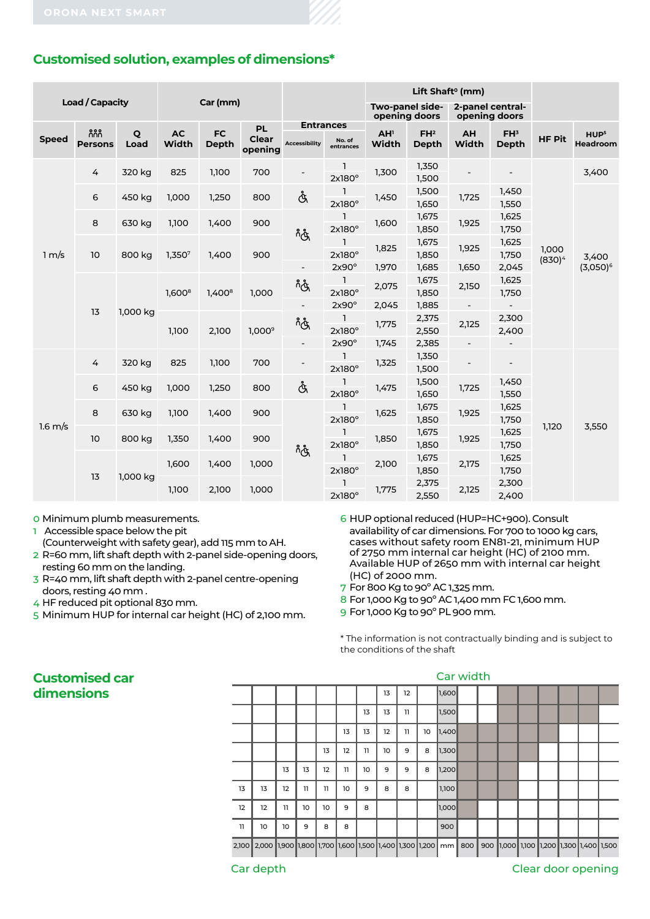# **Customised solution, examples of dimensions\***

|                        |                       |           |                    |                           |                                      |                                          |                               | Lift Shaft <sup>o</sup> (mm)     |                          |                                   |                          |                    |                              |  |
|------------------------|-----------------------|-----------|--------------------|---------------------------|--------------------------------------|------------------------------------------|-------------------------------|----------------------------------|--------------------------|-----------------------------------|--------------------------|--------------------|------------------------------|--|
| <b>Load / Capacity</b> |                       |           |                    | Car (mm)                  |                                      |                                          |                               | Two-panel side-<br>opening doors |                          | 2-panel central-<br>opening doors |                          |                    |                              |  |
| <b>Speed</b>           | កកក<br><b>Persons</b> | Q<br>Load | <b>AC</b><br>Width | <b>FC</b><br><b>Depth</b> | <b>PL</b><br><b>Clear</b><br>opening | <b>Entrances</b><br><b>Accessibility</b> | No. of<br>entrances           | AH <sup>1</sup><br>Width         | FH <sup>2</sup><br>Depth | AH<br>Width                       | FH <sup>3</sup><br>Depth | <b>HF Pit</b>      | HUP <sup>5</sup><br>Headroom |  |
|                        | 4                     | 320 kg    | 825                | 1,100                     | 700                                  | $\overline{\phantom{a}}$                 | $\mathbf{1}$<br>$2x180^\circ$ | 1,300                            | 1,350<br>1,500           |                                   |                          |                    | 3,400                        |  |
|                        | 6                     | 450 kg    | 1,000              | 1,250                     | 800                                  | Å                                        | 1<br>$2x180^\circ$            | 1,450                            | 1,500<br>1,650           | 1,725                             | 1,450<br>1,550           |                    | 3,400<br>$(3,050)^6$         |  |
| 1 m/s                  | 8                     | 630 kg    | 1,100              | 1,400                     | 900                                  | က္လိ                                     | 1<br>$2x180^\circ$            | 1,600                            | 1,675<br>1,850           | 1,925                             | 1,625<br>1,750           | 1,000<br>$(830)^4$ |                              |  |
|                        | 10                    | 800 kg    | 1,3507             | 1,400                     | 900                                  |                                          | $\mathbf{1}$<br>$2x180^\circ$ | 1,825                            | 1,675<br>1,850           | 1,925                             | 1,625<br>1,750           |                    |                              |  |
|                        |                       |           |                    |                           |                                      |                                          | $2x90^\circ$                  | 1,970                            | 1,685                    | 1,650                             | 2,045                    |                    |                              |  |
|                        | 13                    | 1,000 kg  | $1,600^8$          | $1,400^8$                 | 1,000                                | م<br>و                                   | $\mathbf{1}$<br>$2x180^\circ$ | 2,075                            | 1,675<br>1,850           | 2,150                             | 1,625<br>1,750           |                    |                              |  |
|                        |                       |           |                    |                           |                                      | $\overline{\phantom{a}}$                 | $2x90^\circ$                  | 2,045                            | 1,885                    | $\overline{\phantom{a}}$          |                          |                    |                              |  |
|                        |                       |           | 1,100              | 2,100                     | $1,000^9$                            | م<br>و                                   | <b>L</b><br>2x180°            | 1,775                            | 2,375<br>2,550           | 2,125                             | 2,300<br>2,400           |                    |                              |  |
|                        |                       |           |                    |                           |                                      | $\overline{\phantom{a}}$                 | $2x90^\circ$                  | 1,745                            | 2,385                    | $\overline{\phantom{a}}$          | $\overline{\phantom{a}}$ |                    |                              |  |
|                        | 4                     | 320 kg    | 825                | 1,100                     | 700                                  | $\overline{\phantom{a}}$                 | $\mathbf{1}$<br>$2x180^\circ$ | 1,325                            | 1,350<br>1,500           | $\overline{\phantom{a}}$          | $\overline{\phantom{a}}$ | 1,120              | 3,550                        |  |
|                        | 6                     | 450 kg    | 1,000              | 1,250                     | 800                                  | Å                                        | 1<br>$2x180^\circ$            | 1,475                            | 1,500<br>1,650           | 1,725                             | 1,450<br>1,550           |                    |                              |  |
| $1.6 \text{ m/s}$      | 8                     | 630 kg    | 1,100              | 1,400                     | 900                                  |                                          | ı<br>2x180°                   | 1,625                            | 1,675<br>1,850           | 1,925                             | 1,625<br>1,750           |                    |                              |  |
|                        | 10                    | 800 kg    | 1,350              | 1,400                     | 900                                  | က္လိ                                     | L<br>$2x180^\circ$            | 1,850                            | 1,675<br>1,850           | 1,925                             | 1,625<br>1,750           |                    |                              |  |
|                        | 13                    | 1,000 kg  | 1,600              | 1,400                     | 1,000                                |                                          |                               | $\mathbf{1}$<br>$2x180^\circ$    | 2,100                    | 1,675<br>1,850                    | 2,175                    | 1,625<br>1,750     |                              |  |
|                        |                       |           | 1,100              | 2,100                     | 1,000                                |                                          | $\mathbf{1}$<br>$2x180^\circ$ | 1,775                            | 2,375<br>2,550           | 2,125                             | 2,300<br>2,400           |                    |                              |  |

0 Minimum plumb measurements.

1 Accessible space below the pit (Counterweight with safety gear), add 115 mm to AH.

2 R=60 mm, lift shaft depth with 2-panel side-opening doors, resting 60 mm on the landing.

- 3 R=40 mm, lift shaft depth with 2-panel centre-opening doors, resting 40 mm .
- 4 HF reduced pit optional 830 mm.
- 5 Minimum HUP for internal car height (HC) of 2,100 mm.

6 HUP optional reduced (HUP=HC+900). Consult availability of car dimensions. For 700 to 1000 kg cars, cases without safety room EN81-21, minimum HUP of 2750 mm internal car height (HC) of 2100 mm. Available HUP of 2650 mm with internal car height (HC) of 2000 mm.

- 7 For 800 Kg to 90º AC 1,325 mm.
- 8 For 1,000 Kg to 90º AC 1,400 mm FC 1,600 mm.
- 9 For 1,000 Kg to 90º PL 900 mm.

\* The information is not contractually binding and is subject to the conditions of the shaft

| Car width |                                 |                                                             |    |    |                |    |    |    |    |    |       |     |  |                                         |  |  |  |
|-----------|---------------------------------|-------------------------------------------------------------|----|----|----------------|----|----|----|----|----|-------|-----|--|-----------------------------------------|--|--|--|
|           |                                 |                                                             |    |    |                |    |    | 13 | 12 |    | 1,600 |     |  |                                         |  |  |  |
|           |                                 |                                                             |    |    |                |    | 13 | 13 | 11 |    | 1,500 |     |  |                                         |  |  |  |
|           |                                 |                                                             |    |    |                | 13 | 13 | 12 | 11 | 10 | 1,400 |     |  |                                         |  |  |  |
|           |                                 |                                                             |    |    | 13             | 12 | 11 | 10 | 9  | 8  | 1,300 |     |  |                                         |  |  |  |
|           |                                 |                                                             | 13 | 13 | 12             | 11 | 10 | 9  | 9  | 8  | 1,200 |     |  |                                         |  |  |  |
|           | 13                              | 13                                                          | 12 | 11 | $\overline{1}$ | 10 | 9  | 8  | 8  |    | 1,100 |     |  |                                         |  |  |  |
|           | 12                              | 12                                                          | 11 | 10 | 10             | 9  | 8  |    |    |    | 1,000 |     |  |                                         |  |  |  |
|           | 11                              | 10                                                          | 10 | 9  | 8              | 8  |    |    |    |    | 900   |     |  |                                         |  |  |  |
|           |                                 | 2,100 2,000 1,900 1,800 1,700 1,600 1,500 1,400 1,300 1,200 |    |    |                |    |    |    |    |    | mm    | 800 |  | 900 1,000 1,100 1,200 1,300 1,400 1,500 |  |  |  |
|           | Car depth<br>Clear door opening |                                                             |    |    |                |    |    |    |    |    |       |     |  |                                         |  |  |  |

# **Customised car dimensions**